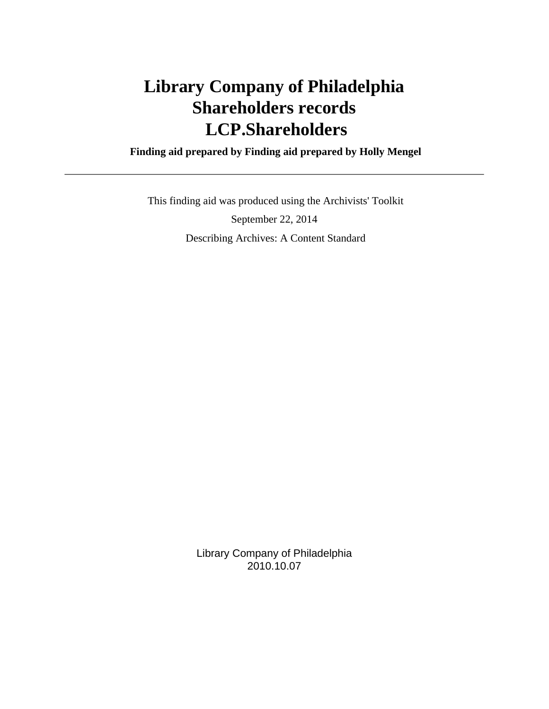# **Library Company of Philadelphia Shareholders records LCP.Shareholders**

 **Finding aid prepared by Finding aid prepared by Holly Mengel**

 This finding aid was produced using the Archivists' Toolkit September 22, 2014 Describing Archives: A Content Standard

> Library Company of Philadelphia 2010.10.07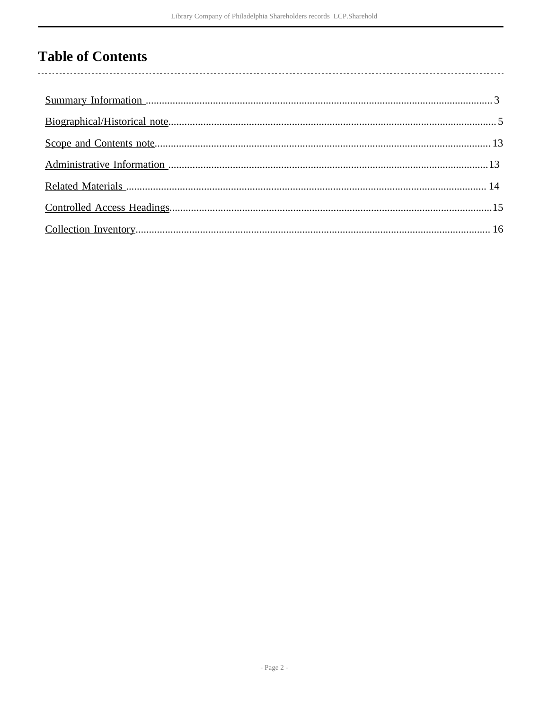# **Table of Contents**

 $\overline{\phantom{a}}$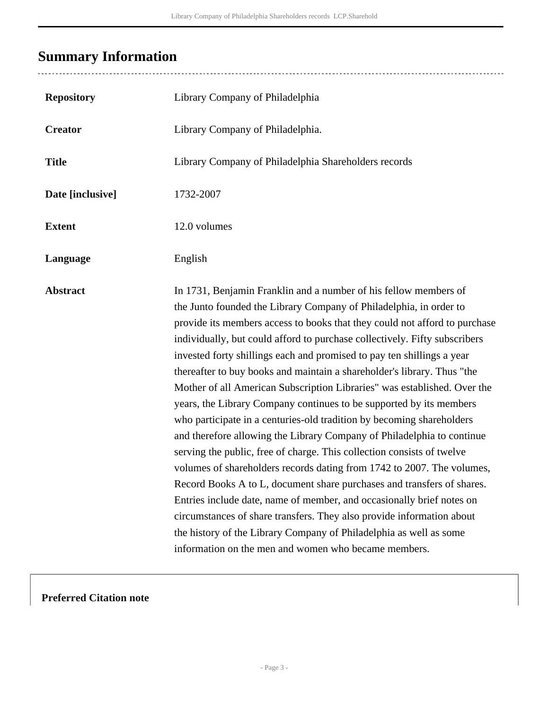# <span id="page-2-0"></span>**Summary Information**

| <b>Repository</b> | Library Company of Philadelphia                                                                                                                                                                                                                                                                                                                                                                                                                                                                                                                                                                                                                                                                                                                                                                                                                                                                                                                                                                                                                                                                                                                                                                                                                                             |
|-------------------|-----------------------------------------------------------------------------------------------------------------------------------------------------------------------------------------------------------------------------------------------------------------------------------------------------------------------------------------------------------------------------------------------------------------------------------------------------------------------------------------------------------------------------------------------------------------------------------------------------------------------------------------------------------------------------------------------------------------------------------------------------------------------------------------------------------------------------------------------------------------------------------------------------------------------------------------------------------------------------------------------------------------------------------------------------------------------------------------------------------------------------------------------------------------------------------------------------------------------------------------------------------------------------|
| <b>Creator</b>    | Library Company of Philadelphia.                                                                                                                                                                                                                                                                                                                                                                                                                                                                                                                                                                                                                                                                                                                                                                                                                                                                                                                                                                                                                                                                                                                                                                                                                                            |
| <b>Title</b>      | Library Company of Philadelphia Shareholders records                                                                                                                                                                                                                                                                                                                                                                                                                                                                                                                                                                                                                                                                                                                                                                                                                                                                                                                                                                                                                                                                                                                                                                                                                        |
| Date [inclusive]  | 1732-2007                                                                                                                                                                                                                                                                                                                                                                                                                                                                                                                                                                                                                                                                                                                                                                                                                                                                                                                                                                                                                                                                                                                                                                                                                                                                   |
| <b>Extent</b>     | 12.0 volumes                                                                                                                                                                                                                                                                                                                                                                                                                                                                                                                                                                                                                                                                                                                                                                                                                                                                                                                                                                                                                                                                                                                                                                                                                                                                |
| Language          | English                                                                                                                                                                                                                                                                                                                                                                                                                                                                                                                                                                                                                                                                                                                                                                                                                                                                                                                                                                                                                                                                                                                                                                                                                                                                     |
| <b>Abstract</b>   | In 1731, Benjamin Franklin and a number of his fellow members of<br>the Junto founded the Library Company of Philadelphia, in order to<br>provide its members access to books that they could not afford to purchase<br>individually, but could afford to purchase collectively. Fifty subscribers<br>invested forty shillings each and promised to pay ten shillings a year<br>thereafter to buy books and maintain a shareholder's library. Thus "the<br>Mother of all American Subscription Libraries" was established. Over the<br>years, the Library Company continues to be supported by its members<br>who participate in a centuries-old tradition by becoming shareholders<br>and therefore allowing the Library Company of Philadelphia to continue<br>serving the public, free of charge. This collection consists of twelve<br>volumes of shareholders records dating from 1742 to 2007. The volumes,<br>Record Books A to L, document share purchases and transfers of shares.<br>Entries include date, name of member, and occasionally brief notes on<br>circumstances of share transfers. They also provide information about<br>the history of the Library Company of Philadelphia as well as some<br>information on the men and women who became members. |

### **Preferred Citation note**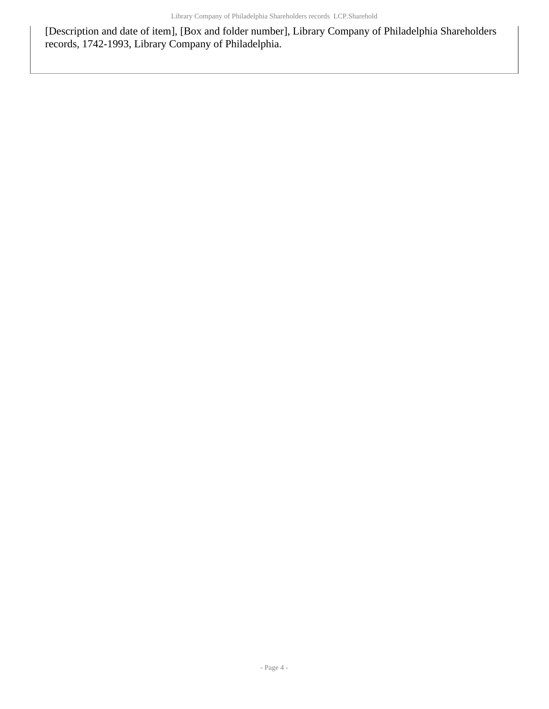[Description and date of item], [Box and folder number], Library Company of Philadelphia Shareholders records, 1742-1993, Library Company of Philadelphia.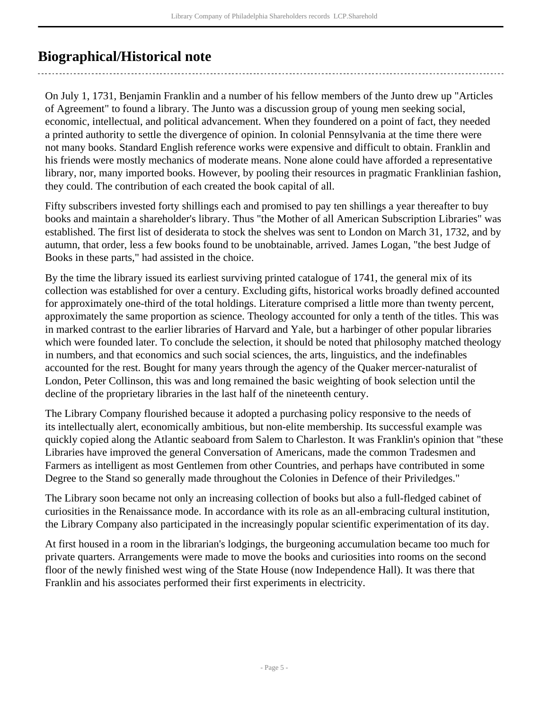## <span id="page-4-0"></span>**Biographical/Historical note**

On July 1, 1731, Benjamin Franklin and a number of his fellow members of the Junto drew up "Articles of Agreement" to found a library. The Junto was a discussion group of young men seeking social, economic, intellectual, and political advancement. When they foundered on a point of fact, they needed a printed authority to settle the divergence of opinion. In colonial Pennsylvania at the time there were not many books. Standard English reference works were expensive and difficult to obtain. Franklin and his friends were mostly mechanics of moderate means. None alone could have afforded a representative library, nor, many imported books. However, by pooling their resources in pragmatic Franklinian fashion, they could. The contribution of each created the book capital of all.

Fifty subscribers invested forty shillings each and promised to pay ten shillings a year thereafter to buy books and maintain a shareholder's library. Thus "the Mother of all American Subscription Libraries" was established. The first list of desiderata to stock the shelves was sent to London on March 31, 1732, and by autumn, that order, less a few books found to be unobtainable, arrived. James Logan, "the best Judge of Books in these parts," had assisted in the choice.

By the time the library issued its earliest surviving printed catalogue of 1741, the general mix of its collection was established for over a century. Excluding gifts, historical works broadly defined accounted for approximately one-third of the total holdings. Literature comprised a little more than twenty percent, approximately the same proportion as science. Theology accounted for only a tenth of the titles. This was in marked contrast to the earlier libraries of Harvard and Yale, but a harbinger of other popular libraries which were founded later. To conclude the selection, it should be noted that philosophy matched theology in numbers, and that economics and such social sciences, the arts, linguistics, and the indefinables accounted for the rest. Bought for many years through the agency of the Quaker mercer-naturalist of London, Peter Collinson, this was and long remained the basic weighting of book selection until the decline of the proprietary libraries in the last half of the nineteenth century.

The Library Company flourished because it adopted a purchasing policy responsive to the needs of its intellectually alert, economically ambitious, but non-elite membership. Its successful example was quickly copied along the Atlantic seaboard from Salem to Charleston. It was Franklin's opinion that "these Libraries have improved the general Conversation of Americans, made the common Tradesmen and Farmers as intelligent as most Gentlemen from other Countries, and perhaps have contributed in some Degree to the Stand so generally made throughout the Colonies in Defence of their Priviledges."

The Library soon became not only an increasing collection of books but also a full-fledged cabinet of curiosities in the Renaissance mode. In accordance with its role as an all-embracing cultural institution, the Library Company also participated in the increasingly popular scientific experimentation of its day.

At first housed in a room in the librarian's lodgings, the burgeoning accumulation became too much for private quarters. Arrangements were made to move the books and curiosities into rooms on the second floor of the newly finished west wing of the State House (now Independence Hall). It was there that Franklin and his associates performed their first experiments in electricity.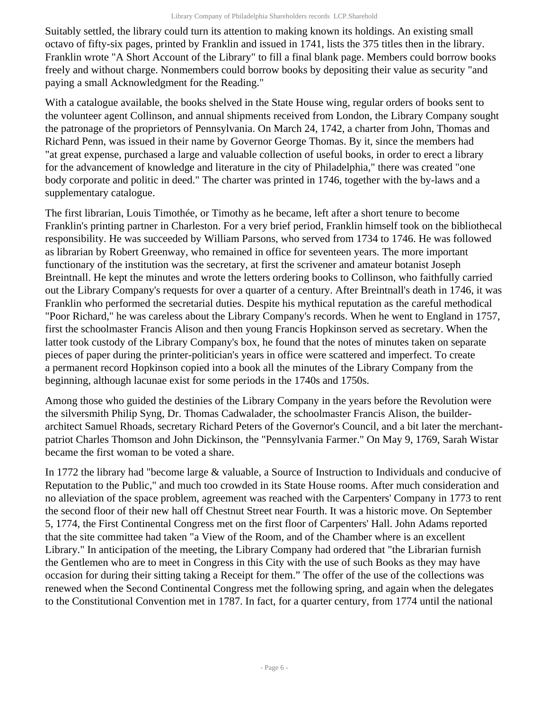Suitably settled, the library could turn its attention to making known its holdings. An existing small octavo of fifty-six pages, printed by Franklin and issued in 1741, lists the 375 titles then in the library. Franklin wrote "A Short Account of the Library" to fill a final blank page. Members could borrow books freely and without charge. Nonmembers could borrow books by depositing their value as security "and paying a small Acknowledgment for the Reading."

With a catalogue available, the books shelved in the State House wing, regular orders of books sent to the volunteer agent Collinson, and annual shipments received from London, the Library Company sought the patronage of the proprietors of Pennsylvania. On March 24, 1742, a charter from John, Thomas and Richard Penn, was issued in their name by Governor George Thomas. By it, since the members had "at great expense, purchased a large and valuable collection of useful books, in order to erect a library for the advancement of knowledge and literature in the city of Philadelphia," there was created "one body corporate and politic in deed." The charter was printed in 1746, together with the by-laws and a supplementary catalogue.

The first librarian, Louis Timothée, or Timothy as he became, left after a short tenure to become Franklin's printing partner in Charleston. For a very brief period, Franklin himself took on the bibliothecal responsibility. He was succeeded by William Parsons, who served from 1734 to 1746. He was followed as librarian by Robert Greenway, who remained in office for seventeen years. The more important functionary of the institution was the secretary, at first the scrivener and amateur botanist Joseph Breintnall. He kept the minutes and wrote the letters ordering books to Collinson, who faithfully carried out the Library Company's requests for over a quarter of a century. After Breintnall's death in 1746, it was Franklin who performed the secretarial duties. Despite his mythical reputation as the careful methodical "Poor Richard," he was careless about the Library Company's records. When he went to England in 1757, first the schoolmaster Francis Alison and then young Francis Hopkinson served as secretary. When the latter took custody of the Library Company's box, he found that the notes of minutes taken on separate pieces of paper during the printer-politician's years in office were scattered and imperfect. To create a permanent record Hopkinson copied into a book all the minutes of the Library Company from the beginning, although lacunae exist for some periods in the 1740s and 1750s.

Among those who guided the destinies of the Library Company in the years before the Revolution were the silversmith Philip Syng, Dr. Thomas Cadwalader, the schoolmaster Francis Alison, the builderarchitect Samuel Rhoads, secretary Richard Peters of the Governor's Council, and a bit later the merchantpatriot Charles Thomson and John Dickinson, the "Pennsylvania Farmer." On May 9, 1769, Sarah Wistar became the first woman to be voted a share.

In 1772 the library had "become large & valuable, a Source of Instruction to Individuals and conducive of Reputation to the Public," and much too crowded in its State House rooms. After much consideration and no alleviation of the space problem, agreement was reached with the Carpenters' Company in 1773 to rent the second floor of their new hall off Chestnut Street near Fourth. It was a historic move. On September 5, 1774, the First Continental Congress met on the first floor of Carpenters' Hall. John Adams reported that the site committee had taken "a View of the Room, and of the Chamber where is an excellent Library." In anticipation of the meeting, the Library Company had ordered that "the Librarian furnish the Gentlemen who are to meet in Congress in this City with the use of such Books as they may have occasion for during their sitting taking a Receipt for them." The offer of the use of the collections was renewed when the Second Continental Congress met the following spring, and again when the delegates to the Constitutional Convention met in 1787. In fact, for a quarter century, from 1774 until the national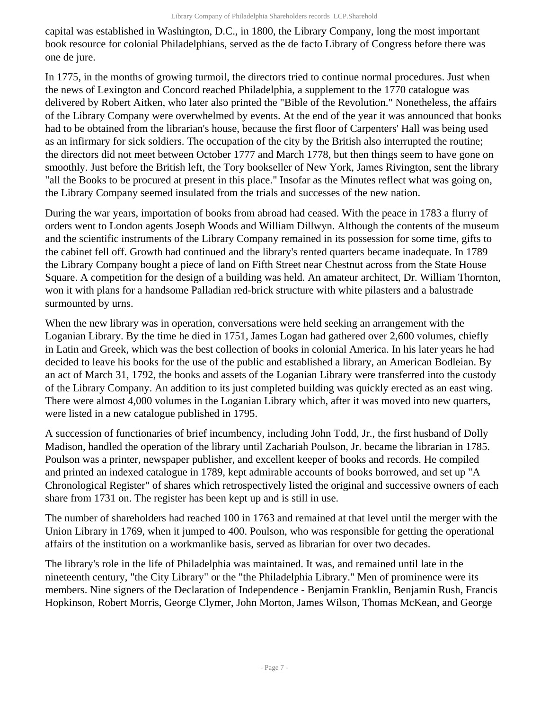capital was established in Washington, D.C., in 1800, the Library Company, long the most important book resource for colonial Philadelphians, served as the de facto Library of Congress before there was one de jure.

In 1775, in the months of growing turmoil, the directors tried to continue normal procedures. Just when the news of Lexington and Concord reached Philadelphia, a supplement to the 1770 catalogue was delivered by Robert Aitken, who later also printed the "Bible of the Revolution." Nonetheless, the affairs of the Library Company were overwhelmed by events. At the end of the year it was announced that books had to be obtained from the librarian's house, because the first floor of Carpenters' Hall was being used as an infirmary for sick soldiers. The occupation of the city by the British also interrupted the routine; the directors did not meet between October 1777 and March 1778, but then things seem to have gone on smoothly. Just before the British left, the Tory bookseller of New York, James Rivington, sent the library "all the Books to be procured at present in this place." Insofar as the Minutes reflect what was going on, the Library Company seemed insulated from the trials and successes of the new nation.

During the war years, importation of books from abroad had ceased. With the peace in 1783 a flurry of orders went to London agents Joseph Woods and William Dillwyn. Although the contents of the museum and the scientific instruments of the Library Company remained in its possession for some time, gifts to the cabinet fell off. Growth had continued and the library's rented quarters became inadequate. In 1789 the Library Company bought a piece of land on Fifth Street near Chestnut across from the State House Square. A competition for the design of a building was held. An amateur architect, Dr. William Thornton, won it with plans for a handsome Palladian red-brick structure with white pilasters and a balustrade surmounted by urns.

When the new library was in operation, conversations were held seeking an arrangement with the Loganian Library. By the time he died in 1751, James Logan had gathered over 2,600 volumes, chiefly in Latin and Greek, which was the best collection of books in colonial America. In his later years he had decided to leave his books for the use of the public and established a library, an American Bodleian. By an act of March 31, 1792, the books and assets of the Loganian Library were transferred into the custody of the Library Company. An addition to its just completed building was quickly erected as an east wing. There were almost 4,000 volumes in the Loganian Library which, after it was moved into new quarters, were listed in a new catalogue published in 1795.

A succession of functionaries of brief incumbency, including John Todd, Jr., the first husband of Dolly Madison, handled the operation of the library until Zachariah Poulson, Jr. became the librarian in 1785. Poulson was a printer, newspaper publisher, and excellent keeper of books and records. He compiled and printed an indexed catalogue in 1789, kept admirable accounts of books borrowed, and set up "A Chronological Register" of shares which retrospectively listed the original and successive owners of each share from 1731 on. The register has been kept up and is still in use.

The number of shareholders had reached 100 in 1763 and remained at that level until the merger with the Union Library in 1769, when it jumped to 400. Poulson, who was responsible for getting the operational affairs of the institution on a workmanlike basis, served as librarian for over two decades.

The library's role in the life of Philadelphia was maintained. It was, and remained until late in the nineteenth century, "the City Library" or the "the Philadelphia Library." Men of prominence were its members. Nine signers of the Declaration of Independence - Benjamin Franklin, Benjamin Rush, Francis Hopkinson, Robert Morris, George Clymer, John Morton, James Wilson, Thomas McKean, and George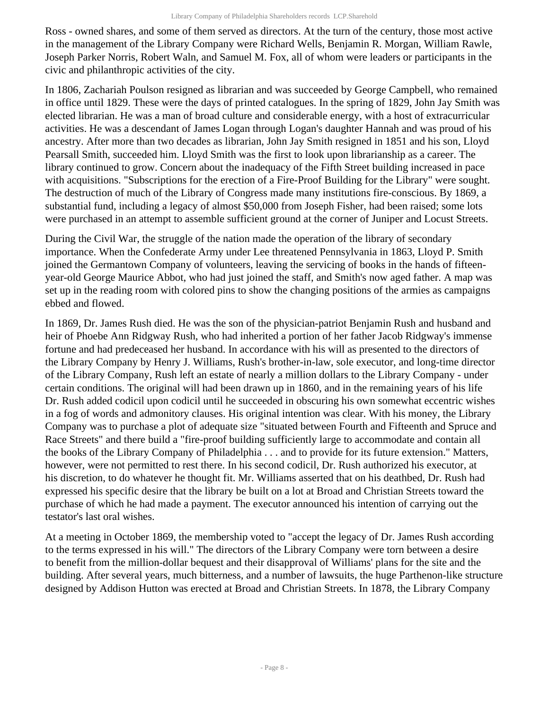Ross - owned shares, and some of them served as directors. At the turn of the century, those most active in the management of the Library Company were Richard Wells, Benjamin R. Morgan, William Rawle, Joseph Parker Norris, Robert Waln, and Samuel M. Fox, all of whom were leaders or participants in the civic and philanthropic activities of the city.

In 1806, Zachariah Poulson resigned as librarian and was succeeded by George Campbell, who remained in office until 1829. These were the days of printed catalogues. In the spring of 1829, John Jay Smith was elected librarian. He was a man of broad culture and considerable energy, with a host of extracurricular activities. He was a descendant of James Logan through Logan's daughter Hannah and was proud of his ancestry. After more than two decades as librarian, John Jay Smith resigned in 1851 and his son, Lloyd Pearsall Smith, succeeded him. Lloyd Smith was the first to look upon librarianship as a career. The library continued to grow. Concern about the inadequacy of the Fifth Street building increased in pace with acquisitions. "Subscriptions for the erection of a Fire-Proof Building for the Library" were sought. The destruction of much of the Library of Congress made many institutions fire-conscious. By 1869, a substantial fund, including a legacy of almost \$50,000 from Joseph Fisher, had been raised; some lots were purchased in an attempt to assemble sufficient ground at the corner of Juniper and Locust Streets.

During the Civil War, the struggle of the nation made the operation of the library of secondary importance. When the Confederate Army under Lee threatened Pennsylvania in 1863, Lloyd P. Smith joined the Germantown Company of volunteers, leaving the servicing of books in the hands of fifteenyear-old George Maurice Abbot, who had just joined the staff, and Smith's now aged father. A map was set up in the reading room with colored pins to show the changing positions of the armies as campaigns ebbed and flowed.

In 1869, Dr. James Rush died. He was the son of the physician-patriot Benjamin Rush and husband and heir of Phoebe Ann Ridgway Rush, who had inherited a portion of her father Jacob Ridgway's immense fortune and had predeceased her husband. In accordance with his will as presented to the directors of the Library Company by Henry J. Williams, Rush's brother-in-law, sole executor, and long-time director of the Library Company, Rush left an estate of nearly a million dollars to the Library Company - under certain conditions. The original will had been drawn up in 1860, and in the remaining years of his life Dr. Rush added codicil upon codicil until he succeeded in obscuring his own somewhat eccentric wishes in a fog of words and admonitory clauses. His original intention was clear. With his money, the Library Company was to purchase a plot of adequate size "situated between Fourth and Fifteenth and Spruce and Race Streets" and there build a "fire-proof building sufficiently large to accommodate and contain all the books of the Library Company of Philadelphia . . . and to provide for its future extension." Matters, however, were not permitted to rest there. In his second codicil, Dr. Rush authorized his executor, at his discretion, to do whatever he thought fit. Mr. Williams asserted that on his deathbed, Dr. Rush had expressed his specific desire that the library be built on a lot at Broad and Christian Streets toward the purchase of which he had made a payment. The executor announced his intention of carrying out the testator's last oral wishes.

At a meeting in October 1869, the membership voted to "accept the legacy of Dr. James Rush according to the terms expressed in his will." The directors of the Library Company were torn between a desire to benefit from the million-dollar bequest and their disapproval of Williams' plans for the site and the building. After several years, much bitterness, and a number of lawsuits, the huge Parthenon-like structure designed by Addison Hutton was erected at Broad and Christian Streets. In 1878, the Library Company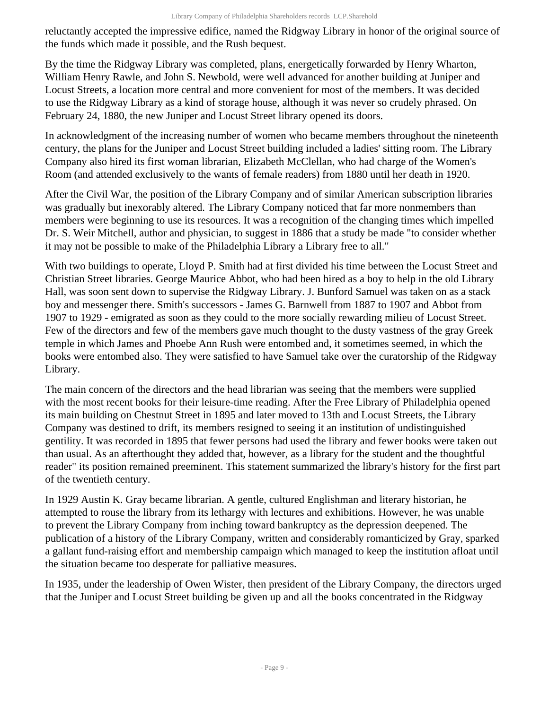reluctantly accepted the impressive edifice, named the Ridgway Library in honor of the original source of the funds which made it possible, and the Rush bequest.

By the time the Ridgway Library was completed, plans, energetically forwarded by Henry Wharton, William Henry Rawle, and John S. Newbold, were well advanced for another building at Juniper and Locust Streets, a location more central and more convenient for most of the members. It was decided to use the Ridgway Library as a kind of storage house, although it was never so crudely phrased. On February 24, 1880, the new Juniper and Locust Street library opened its doors.

In acknowledgment of the increasing number of women who became members throughout the nineteenth century, the plans for the Juniper and Locust Street building included a ladies' sitting room. The Library Company also hired its first woman librarian, Elizabeth McClellan, who had charge of the Women's Room (and attended exclusively to the wants of female readers) from 1880 until her death in 1920.

After the Civil War, the position of the Library Company and of similar American subscription libraries was gradually but inexorably altered. The Library Company noticed that far more nonmembers than members were beginning to use its resources. It was a recognition of the changing times which impelled Dr. S. Weir Mitchell, author and physician, to suggest in 1886 that a study be made "to consider whether it may not be possible to make of the Philadelphia Library a Library free to all."

With two buildings to operate, Lloyd P. Smith had at first divided his time between the Locust Street and Christian Street libraries. George Maurice Abbot, who had been hired as a boy to help in the old Library Hall, was soon sent down to supervise the Ridgway Library. J. Bunford Samuel was taken on as a stack boy and messenger there. Smith's successors - James G. Barnwell from 1887 to 1907 and Abbot from 1907 to 1929 - emigrated as soon as they could to the more socially rewarding milieu of Locust Street. Few of the directors and few of the members gave much thought to the dusty vastness of the gray Greek temple in which James and Phoebe Ann Rush were entombed and, it sometimes seemed, in which the books were entombed also. They were satisfied to have Samuel take over the curatorship of the Ridgway Library.

The main concern of the directors and the head librarian was seeing that the members were supplied with the most recent books for their leisure-time reading. After the Free Library of Philadelphia opened its main building on Chestnut Street in 1895 and later moved to 13th and Locust Streets, the Library Company was destined to drift, its members resigned to seeing it an institution of undistinguished gentility. It was recorded in 1895 that fewer persons had used the library and fewer books were taken out than usual. As an afterthought they added that, however, as a library for the student and the thoughtful reader" its position remained preeminent. This statement summarized the library's history for the first part of the twentieth century.

In 1929 Austin K. Gray became librarian. A gentle, cultured Englishman and literary historian, he attempted to rouse the library from its lethargy with lectures and exhibitions. However, he was unable to prevent the Library Company from inching toward bankruptcy as the depression deepened. The publication of a history of the Library Company, written and considerably romanticized by Gray, sparked a gallant fund-raising effort and membership campaign which managed to keep the institution afloat until the situation became too desperate for palliative measures.

In 1935, under the leadership of Owen Wister, then president of the Library Company, the directors urged that the Juniper and Locust Street building be given up and all the books concentrated in the Ridgway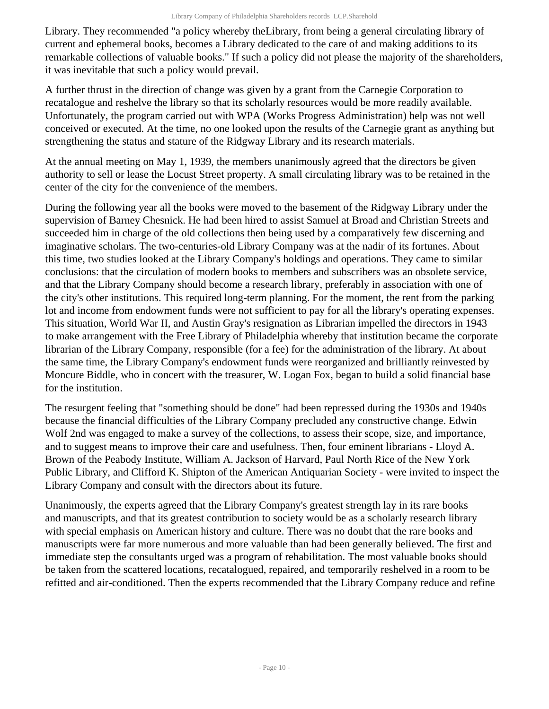Library. They recommended "a policy whereby theLibrary, from being a general circulating library of current and ephemeral books, becomes a Library dedicated to the care of and making additions to its remarkable collections of valuable books." If such a policy did not please the majority of the shareholders, it was inevitable that such a policy would prevail.

A further thrust in the direction of change was given by a grant from the Carnegie Corporation to recatalogue and reshelve the library so that its scholarly resources would be more readily available. Unfortunately, the program carried out with WPA (Works Progress Administration) help was not well conceived or executed. At the time, no one looked upon the results of the Carnegie grant as anything but strengthening the status and stature of the Ridgway Library and its research materials.

At the annual meeting on May 1, 1939, the members unanimously agreed that the directors be given authority to sell or lease the Locust Street property. A small circulating library was to be retained in the center of the city for the convenience of the members.

During the following year all the books were moved to the basement of the Ridgway Library under the supervision of Barney Chesnick. He had been hired to assist Samuel at Broad and Christian Streets and succeeded him in charge of the old collections then being used by a comparatively few discerning and imaginative scholars. The two-centuries-old Library Company was at the nadir of its fortunes. About this time, two studies looked at the Library Company's holdings and operations. They came to similar conclusions: that the circulation of modern books to members and subscribers was an obsolete service, and that the Library Company should become a research library, preferably in association with one of the city's other institutions. This required long-term planning. For the moment, the rent from the parking lot and income from endowment funds were not sufficient to pay for all the library's operating expenses. This situation, World War II, and Austin Gray's resignation as Librarian impelled the directors in 1943 to make arrangement with the Free Library of Philadelphia whereby that institution became the corporate librarian of the Library Company, responsible (for a fee) for the administration of the library. At about the same time, the Library Company's endowment funds were reorganized and brilliantly reinvested by Moncure Biddle, who in concert with the treasurer, W. Logan Fox, began to build a solid financial base for the institution.

The resurgent feeling that "something should be done" had been repressed during the 1930s and 1940s because the financial difficulties of the Library Company precluded any constructive change. Edwin Wolf 2nd was engaged to make a survey of the collections, to assess their scope, size, and importance, and to suggest means to improve their care and usefulness. Then, four eminent librarians - Lloyd A. Brown of the Peabody Institute, William A. Jackson of Harvard, Paul North Rice of the New York Public Library, and Clifford K. Shipton of the American Antiquarian Society - were invited to inspect the Library Company and consult with the directors about its future.

Unanimously, the experts agreed that the Library Company's greatest strength lay in its rare books and manuscripts, and that its greatest contribution to society would be as a scholarly research library with special emphasis on American history and culture. There was no doubt that the rare books and manuscripts were far more numerous and more valuable than had been generally believed. The first and immediate step the consultants urged was a program of rehabilitation. The most valuable books should be taken from the scattered locations, recatalogued, repaired, and temporarily reshelved in a room to be refitted and air-conditioned. Then the experts recommended that the Library Company reduce and refine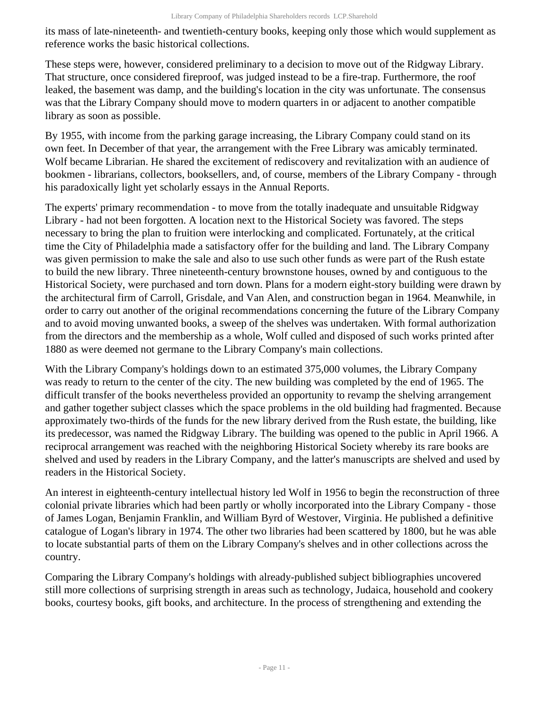its mass of late-nineteenth- and twentieth-century books, keeping only those which would supplement as reference works the basic historical collections.

These steps were, however, considered preliminary to a decision to move out of the Ridgway Library. That structure, once considered fireproof, was judged instead to be a fire-trap. Furthermore, the roof leaked, the basement was damp, and the building's location in the city was unfortunate. The consensus was that the Library Company should move to modern quarters in or adjacent to another compatible library as soon as possible.

By 1955, with income from the parking garage increasing, the Library Company could stand on its own feet. In December of that year, the arrangement with the Free Library was amicably terminated. Wolf became Librarian. He shared the excitement of rediscovery and revitalization with an audience of bookmen - librarians, collectors, booksellers, and, of course, members of the Library Company - through his paradoxically light yet scholarly essays in the Annual Reports.

The experts' primary recommendation - to move from the totally inadequate and unsuitable Ridgway Library - had not been forgotten. A location next to the Historical Society was favored. The steps necessary to bring the plan to fruition were interlocking and complicated. Fortunately, at the critical time the City of Philadelphia made a satisfactory offer for the building and land. The Library Company was given permission to make the sale and also to use such other funds as were part of the Rush estate to build the new library. Three nineteenth-century brownstone houses, owned by and contiguous to the Historical Society, were purchased and torn down. Plans for a modern eight-story building were drawn by the architectural firm of Carroll, Grisdale, and Van Alen, and construction began in 1964. Meanwhile, in order to carry out another of the original recommendations concerning the future of the Library Company and to avoid moving unwanted books, a sweep of the shelves was undertaken. With formal authorization from the directors and the membership as a whole, Wolf culled and disposed of such works printed after 1880 as were deemed not germane to the Library Company's main collections.

With the Library Company's holdings down to an estimated 375,000 volumes, the Library Company was ready to return to the center of the city. The new building was completed by the end of 1965. The difficult transfer of the books nevertheless provided an opportunity to revamp the shelving arrangement and gather together subject classes which the space problems in the old building had fragmented. Because approximately two-thirds of the funds for the new library derived from the Rush estate, the building, like its predecessor, was named the Ridgway Library. The building was opened to the public in April 1966. A reciprocal arrangement was reached with the neighboring Historical Society whereby its rare books are shelved and used by readers in the Library Company, and the latter's manuscripts are shelved and used by readers in the Historical Society.

An interest in eighteenth-century intellectual history led Wolf in 1956 to begin the reconstruction of three colonial private libraries which had been partly or wholly incorporated into the Library Company - those of James Logan, Benjamin Franklin, and William Byrd of Westover, Virginia. He published a definitive catalogue of Logan's library in 1974. The other two libraries had been scattered by 1800, but he was able to locate substantial parts of them on the Library Company's shelves and in other collections across the country.

Comparing the Library Company's holdings with already-published subject bibliographies uncovered still more collections of surprising strength in areas such as technology, Judaica, household and cookery books, courtesy books, gift books, and architecture. In the process of strengthening and extending the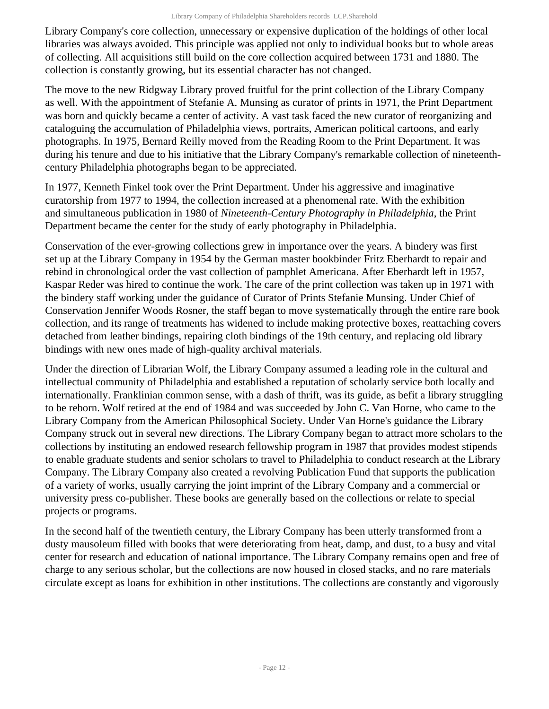Library Company's core collection, unnecessary or expensive duplication of the holdings of other local libraries was always avoided. This principle was applied not only to individual books but to whole areas of collecting. All acquisitions still build on the core collection acquired between 1731 and 1880. The collection is constantly growing, but its essential character has not changed.

The move to the new Ridgway Library proved fruitful for the print collection of the Library Company as well. With the appointment of Stefanie A. Munsing as curator of prints in 1971, the Print Department was born and quickly became a center of activity. A vast task faced the new curator of reorganizing and cataloguing the accumulation of Philadelphia views, portraits, American political cartoons, and early photographs. In 1975, Bernard Reilly moved from the Reading Room to the Print Department. It was during his tenure and due to his initiative that the Library Company's remarkable collection of nineteenthcentury Philadelphia photographs began to be appreciated.

In 1977, Kenneth Finkel took over the Print Department. Under his aggressive and imaginative curatorship from 1977 to 1994, the collection increased at a phenomenal rate. With the exhibition and simultaneous publication in 1980 of *Nineteenth-Century Photography in Philadelphia*, the Print Department became the center for the study of early photography in Philadelphia.

Conservation of the ever-growing collections grew in importance over the years. A bindery was first set up at the Library Company in 1954 by the German master bookbinder Fritz Eberhardt to repair and rebind in chronological order the vast collection of pamphlet Americana. After Eberhardt left in 1957, Kaspar Reder was hired to continue the work. The care of the print collection was taken up in 1971 with the bindery staff working under the guidance of Curator of Prints Stefanie Munsing. Under Chief of Conservation Jennifer Woods Rosner, the staff began to move systematically through the entire rare book collection, and its range of treatments has widened to include making protective boxes, reattaching covers detached from leather bindings, repairing cloth bindings of the 19th century, and replacing old library bindings with new ones made of high-quality archival materials.

Under the direction of Librarian Wolf, the Library Company assumed a leading role in the cultural and intellectual community of Philadelphia and established a reputation of scholarly service both locally and internationally. Franklinian common sense, with a dash of thrift, was its guide, as befit a library struggling to be reborn. Wolf retired at the end of 1984 and was succeeded by John C. Van Horne, who came to the Library Company from the American Philosophical Society. Under Van Horne's guidance the Library Company struck out in several new directions. The Library Company began to attract more scholars to the collections by instituting an endowed research fellowship program in 1987 that provides modest stipends to enable graduate students and senior scholars to travel to Philadelphia to conduct research at the Library Company. The Library Company also created a revolving Publication Fund that supports the publication of a variety of works, usually carrying the joint imprint of the Library Company and a commercial or university press co-publisher. These books are generally based on the collections or relate to special projects or programs.

In the second half of the twentieth century, the Library Company has been utterly transformed from a dusty mausoleum filled with books that were deteriorating from heat, damp, and dust, to a busy and vital center for research and education of national importance. The Library Company remains open and free of charge to any serious scholar, but the collections are now housed in closed stacks, and no rare materials circulate except as loans for exhibition in other institutions. The collections are constantly and vigorously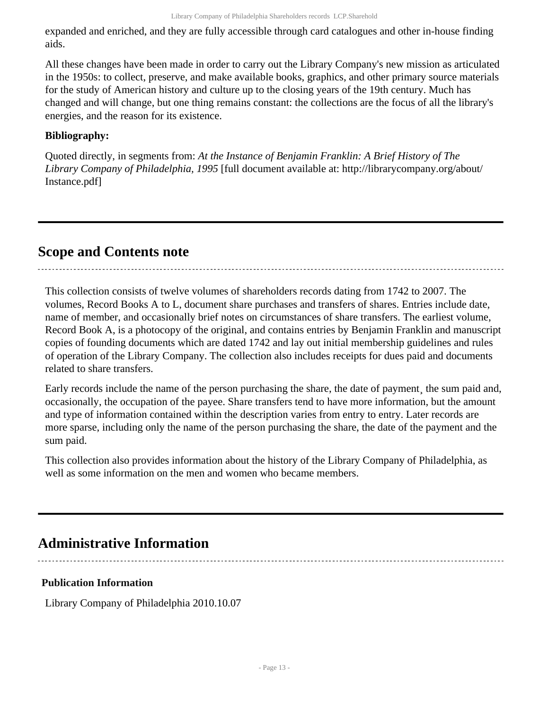expanded and enriched, and they are fully accessible through card catalogues and other in-house finding aids.

All these changes have been made in order to carry out the Library Company's new mission as articulated in the 1950s: to collect, preserve, and make available books, graphics, and other primary source materials for the study of American history and culture up to the closing years of the 19th century. Much has changed and will change, but one thing remains constant: the collections are the focus of all the library's energies, and the reason for its existence.

### **Bibliography:**

Quoted directly, in segments from: *At the Instance of Benjamin Franklin: A Brief History of The Library Company of Philadelphia, 1995* [full document available at: http://librarycompany.org/about/ Instance.pdf]

## <span id="page-12-0"></span>**Scope and Contents note**

This collection consists of twelve volumes of shareholders records dating from 1742 to 2007. The volumes, Record Books A to L, document share purchases and transfers of shares. Entries include date, name of member, and occasionally brief notes on circumstances of share transfers. The earliest volume, Record Book A, is a photocopy of the original, and contains entries by Benjamin Franklin and manuscript copies of founding documents which are dated 1742 and lay out initial membership guidelines and rules of operation of the Library Company. The collection also includes receipts for dues paid and documents related to share transfers.

Early records include the name of the person purchasing the share, the date of payment, the sum paid and, occasionally, the occupation of the payee. Share transfers tend to have more information, but the amount and type of information contained within the description varies from entry to entry. Later records are more sparse, including only the name of the person purchasing the share, the date of the payment and the sum paid.

This collection also provides information about the history of the Library Company of Philadelphia, as well as some information on the men and women who became members.

# <span id="page-12-1"></span>**Administrative Information**

### **Publication Information**

Library Company of Philadelphia 2010.10.07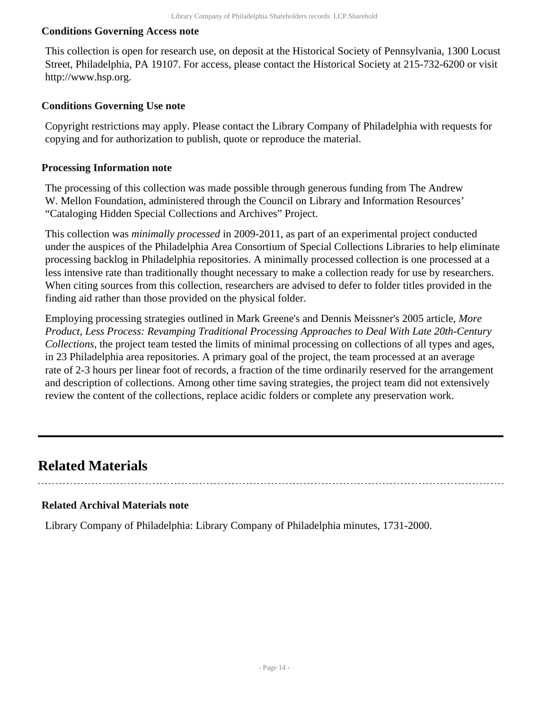#### **Conditions Governing Access note**

This collection is open for research use, on deposit at the Historical Society of Pennsylvania, 1300 Locust Street, Philadelphia, PA 19107. For access, please contact the Historical Society at 215-732-6200 or visit http://www.hsp.org.

#### **Conditions Governing Use note**

Copyright restrictions may apply. Please contact the Library Company of Philadelphia with requests for copying and for authorization to publish, quote or reproduce the material.

#### **Processing Information note**

The processing of this collection was made possible through generous funding from The Andrew W. Mellon Foundation, administered through the Council on Library and Information Resources' "Cataloging Hidden Special Collections and Archives" Project.

This collection was *minimally processed* in 2009-2011, as part of an experimental project conducted under the auspices of the Philadelphia Area Consortium of Special Collections Libraries to help eliminate processing backlog in Philadelphia repositories. A minimally processed collection is one processed at a less intensive rate than traditionally thought necessary to make a collection ready for use by researchers. When citing sources from this collection, researchers are advised to defer to folder titles provided in the finding aid rather than those provided on the physical folder.

Employing processing strategies outlined in Mark Greene's and Dennis Meissner's 2005 article, *More Product, Less Process: Revamping Traditional Processing Approaches to Deal With Late 20th-Century Collections*, the project team tested the limits of minimal processing on collections of all types and ages, in 23 Philadelphia area repositories. A primary goal of the project, the team processed at an average rate of 2-3 hours per linear foot of records, a fraction of the time ordinarily reserved for the arrangement and description of collections. Among other time saving strategies, the project team did not extensively review the content of the collections, replace acidic folders or complete any preservation work.

## <span id="page-13-0"></span>**Related Materials**

#### **Related Archival Materials note**

Library Company of Philadelphia: Library Company of Philadelphia minutes, 1731-2000.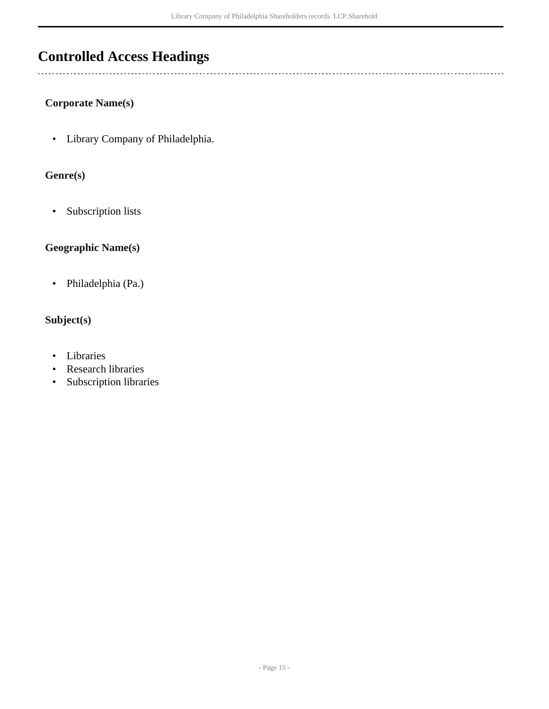## <span id="page-14-0"></span>**Controlled Access Headings**

 $\overline{a}$ 

#### **Corporate Name(s)**

• Library Company of Philadelphia.

### **Genre(s)**

• Subscription lists

### **Geographic Name(s)**

• Philadelphia (Pa.)

### **Subject(s)**

- Libraries
- Research libraries
- Subscription libraries